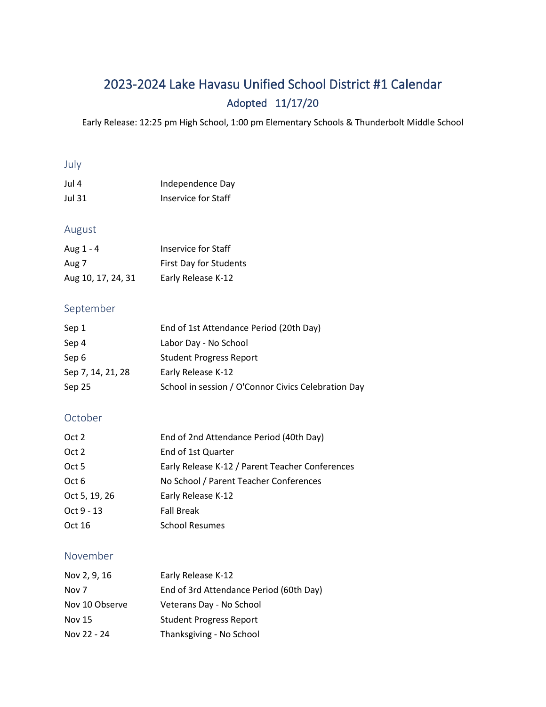# 2023-2024 Lake Havasu Unified School District #1 Calendar Adopted 11/17/20

Early Release: 12:25 pm High School, 1:00 pm Elementary Schools & Thunderbolt Middle School

#### July

| Jul 4  | Independence Day    |
|--------|---------------------|
| Jul 31 | Inservice for Staff |

# August

| Aug 1 - 4          | Inservice for Staff    |
|--------------------|------------------------|
| Aug 7              | First Day for Students |
| Aug 10, 17, 24, 31 | Early Release K-12     |

### September

| Sep 1             | End of 1st Attendance Period (20th Day)             |
|-------------------|-----------------------------------------------------|
| Sep 4             | Labor Day - No School                               |
| Sep 6             | <b>Student Progress Report</b>                      |
| Sep 7, 14, 21, 28 | Early Release K-12                                  |
| Sep 25            | School in session / O'Connor Civics Celebration Day |

# October

| Oct 2         | End of 2nd Attendance Period (40th Day)         |
|---------------|-------------------------------------------------|
| Oct 2         | End of 1st Quarter                              |
| Oct 5         | Early Release K-12 / Parent Teacher Conferences |
| Oct 6         | No School / Parent Teacher Conferences          |
| Oct 5, 19, 26 | Early Release K-12                              |
| Oct 9 - 13    | <b>Fall Break</b>                               |
| Oct 16        | <b>School Resumes</b>                           |

### November

| Nov 2, 9, 16   | Early Release K-12                      |
|----------------|-----------------------------------------|
| Nov 7          | End of 3rd Attendance Period (60th Day) |
| Nov 10 Observe | Veterans Day - No School                |
| Nov 15         | <b>Student Progress Report</b>          |
| Nov 22 - 24    | Thanksgiving - No School                |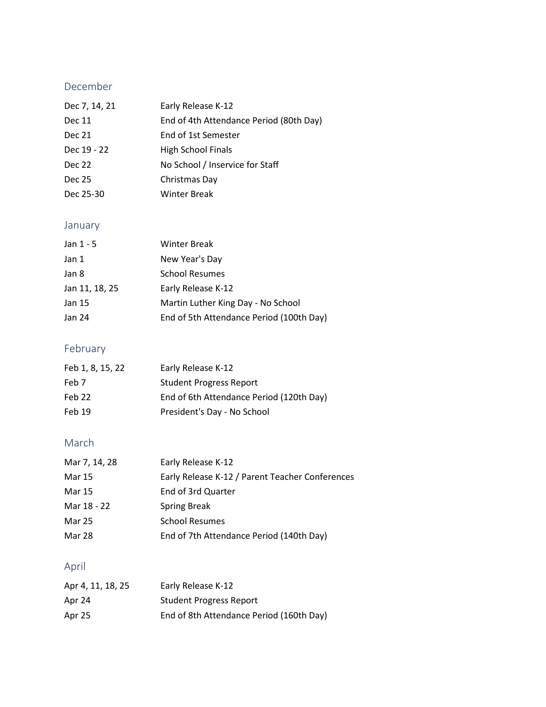# December

| Dec 7, 14, 21 | Early Release K-12                      |
|---------------|-----------------------------------------|
| Dec 11        | End of 4th Attendance Period (80th Day) |
| Dec 21        | End of 1st Semester                     |
| Dec 19 - 22   | High School Finals                      |
| Dec 22        | No School / Inservice for Staff         |
| Dec 25        | Christmas Day                           |
| Dec 25-30     | <b>Winter Break</b>                     |

# January

| Jan 1 - 5      | <b>Winter Break</b>                      |
|----------------|------------------------------------------|
| Jan 1          | New Year's Day                           |
| Jan 8          | <b>School Resumes</b>                    |
| Jan 11, 18, 25 | Early Release K-12                       |
| Jan 15         | Martin Luther King Day - No School       |
| Jan 24         | End of 5th Attendance Period (100th Day) |

# February

| Feb 1, 8, 15, 22 | Early Release K-12                       |
|------------------|------------------------------------------|
| Feb 7            | <b>Student Progress Report</b>           |
| Feb 22           | End of 6th Attendance Period (120th Day) |
| Feb 19           | President's Day - No School              |

# March

| Mar 7, 14, 28 | Early Release K-12                              |
|---------------|-------------------------------------------------|
| Mar 15        | Early Release K-12 / Parent Teacher Conferences |
| Mar 15        | End of 3rd Quarter                              |
| Mar 18 - 22   | <b>Spring Break</b>                             |
| Mar 25        | <b>School Resumes</b>                           |
| Mar 28        | End of 7th Attendance Period (140th Day)        |

# April

| Apr 4, 11, 18, 25 | Early Release K-12                       |
|-------------------|------------------------------------------|
| Apr 24            | <b>Student Progress Report</b>           |
| Apr 25            | End of 8th Attendance Period (160th Day) |